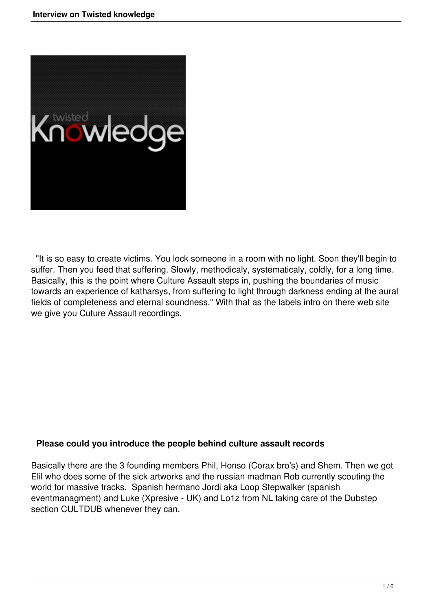

 "It is so easy to create victims. You lock someone in a room with no light. Soon they'll begin to suffer. Then you feed that suffering. Slowly, methodicaly, systematicaly, coldly, for a long time. Basically, this is the point where Culture Assault steps in, pushing the boundaries of music towards an experience of katharsys, from suffering to light through darkness ending at the aural fields of completeness and eternal soundness." With that as the labels intro on there web site we give you Cuture Assault recordings.

# **Please could you introduce the people behind culture assault records**

Basically there are the 3 founding members Phil, Honso (Corax bro's) and Shem. Then we got Elil who does some of the sick artworks and the russian madman Rob currently scouting the world for massive tracks. Spanish hermano Jordi aka Loop Stepwalker (spanish eventmanagment) and Luke (Xpresive - UK) and Lo1z from NL taking care of the Dubstep section CULTDUB whenever they can.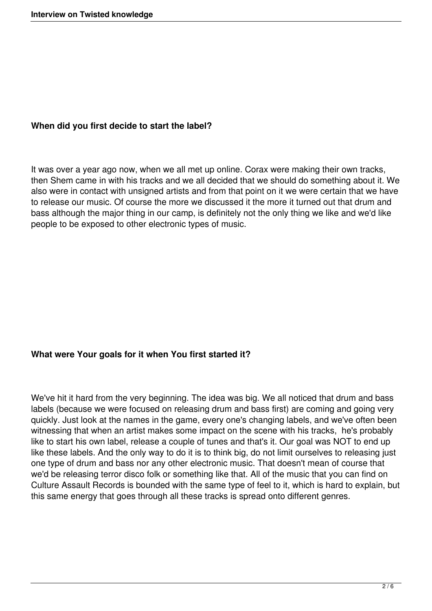# **When did you first decide to start the label?**

It was over a year ago now, when we all met up online. Corax were making their own tracks, then Shem came in with his tracks and we all decided that we should do something about it. We also were in contact with unsigned artists and from that point on it we were certain that we have to release our music. Of course the more we discussed it the more it turned out that drum and bass although the major thing in our camp, is definitely not the only thing we like and we'd like people to be exposed to other electronic types of music.

# **What were Your goals for it when You first started it?**

We've hit it hard from the very beginning. The idea was big. We all noticed that drum and bass labels (because we were focused on releasing drum and bass first) are coming and going very quickly. Just look at the names in the game, every one's changing labels, and we've often been witnessing that when an artist makes some impact on the scene with his tracks, he's probably like to start his own label, release a couple of tunes and that's it. Our goal was NOT to end up like these labels. And the only way to do it is to think big, do not limit ourselves to releasing just one type of drum and bass nor any other electronic music. That doesn't mean of course that we'd be releasing terror disco folk or something like that. All of the music that you can find on Culture Assault Records is bounded with the same type of feel to it, which is hard to explain, but this same energy that goes through all these tracks is spread onto different genres.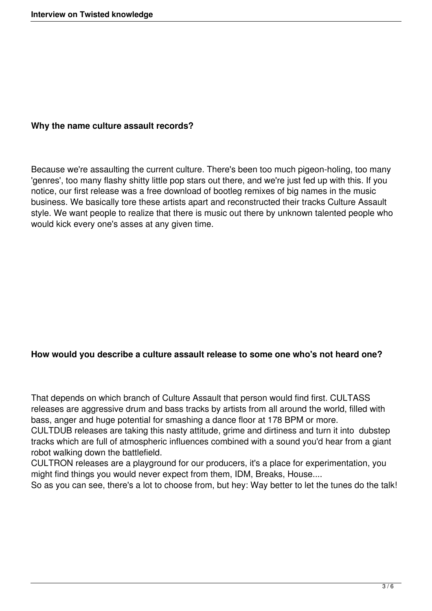### **Why the name culture assault records?**

Because we're assaulting the current culture. There's been too much pigeon-holing, too many 'genres', too many flashy shitty little pop stars out there, and we're just fed up with this. If you notice, our first release was a free download of bootleg remixes of big names in the music business. We basically tore these artists apart and reconstructed their tracks Culture Assault style. We want people to realize that there is music out there by unknown talented people who would kick every one's asses at any given time.

### **How would you describe a culture assault release to some one who's not heard one?**

That depends on which branch of Culture Assault that person would find first. CULTASS releases are aggressive drum and bass tracks by artists from all around the world, filled with bass, anger and huge potential for smashing a dance floor at 178 BPM or more.

CULTDUB releases are taking this nasty attitude, grime and dirtiness and turn it into dubstep tracks which are full of atmospheric influences combined with a sound you'd hear from a giant robot walking down the battlefield.

CULTRON releases are a playground for our producers, it's a place for experimentation, you might find things you would never expect from them, IDM, Breaks, House....

So as you can see, there's a lot to choose from, but hey: Way better to let the tunes do the talk!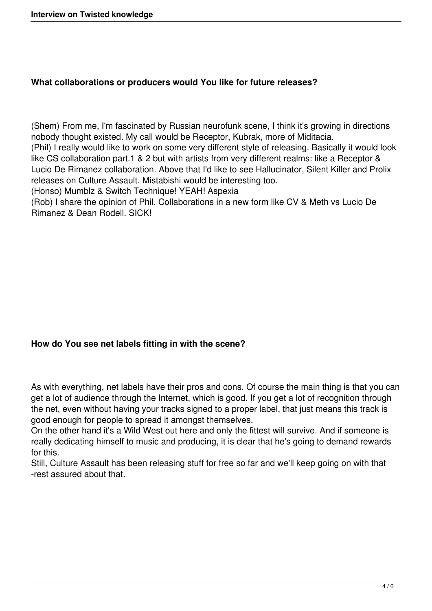# **What collaborations or producers would You like for future releases?**

(Shem) From me, I'm fascinated by Russian neurofunk scene, I think it's growing in directions nobody thought existed. My call would be Receptor, Kubrak, more of Miditacia. (Phil) I really would like to work on some very different style of releasing. Basically it would look like CS collaboration part.1 & 2 but with artists from very different realms: like a Receptor & Lucio De Rimanez collaboration. Above that I'd like to see Hallucinator, Silent Killer and Prolix releases on Culture Assault. Mistabishi would be interesting too.

(Honso) Mumblz & Switch Technique! YEAH! Aspexia

(Rob) I share the opinion of Phil. Collaborations in a new form like CV & Meth vs Lucio De Rimanez & Dean Rodell. SICK!

# **How do You see net labels fitting in with the scene?**

As with everything, net labels have their pros and cons. Of course the main thing is that you can get a lot of audience through the Internet, which is good. If you get a lot of recognition through the net, even without having your tracks signed to a proper label, that just means this track is good enough for people to spread it amongst themselves.

On the other hand it's a Wild West out here and only the fittest will survive. And if someone is really dedicating himself to music and producing, it is clear that he's going to demand rewards for this.

Still, Culture Assault has been releasing stuff for free so far and we'll keep going on with that -rest assured about that.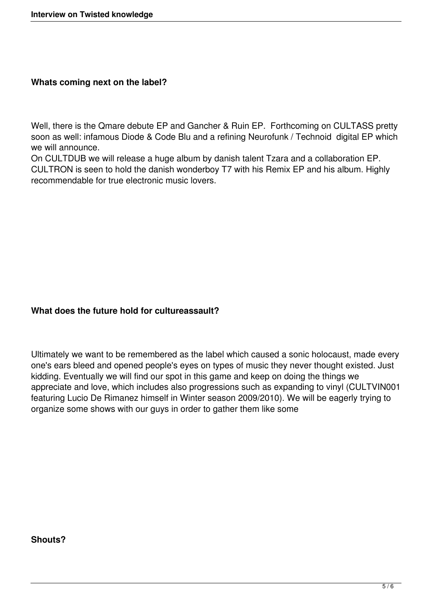## **Whats coming next on the label?**

Well, there is the Qmare debute EP and Gancher & Ruin EP. Forthcoming on CULTASS pretty soon as well: infamous Diode & Code Blu and a refining Neurofunk / Technoid digital EP which we will announce.

On CULTDUB we will release a huge album by danish talent Tzara and a collaboration EP. CULTRON is seen to hold the danish wonderboy T7 with his Remix EP and his album. Highly recommendable for true electronic music lovers.

# **What does the future hold for cultureassault?**

Ultimately we want to be remembered as the label which caused a sonic holocaust, made every one's ears bleed and opened people's eyes on types of music they never thought existed. Just kidding. Eventually we will find our spot in this game and keep on doing the things we appreciate and love, which includes also progressions such as expanding to vinyl (CULTVIN001 featuring Lucio De Rimanez himself in Winter season 2009/2010). We will be eagerly trying to organize some shows with our guys in order to gather them like some

### **Shouts?**